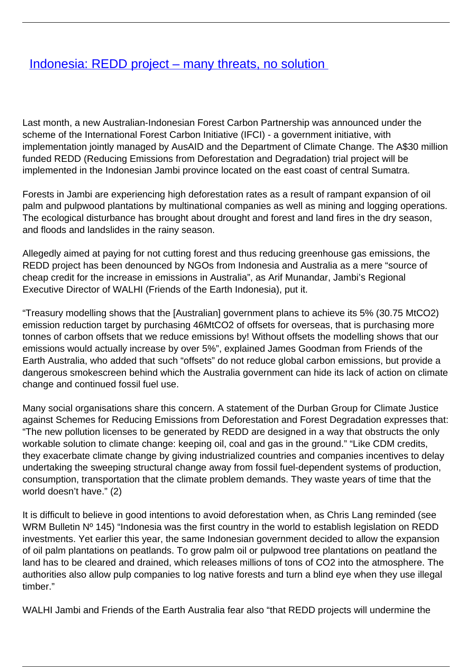## **[Indonesia: REDD project – many threats, no solution](/bulletin-articles/indonesia-redd-project-many-threats-no-solution)**

Last month, a new Australian-Indonesian Forest Carbon Partnership was announced under the scheme of the International Forest Carbon Initiative (IFCI) - a government initiative, with implementation jointly managed by AusAID and the Department of Climate Change. The A\$30 million funded REDD (Reducing Emissions from Deforestation and Degradation) trial project will be implemented in the Indonesian Jambi province located on the east coast of central Sumatra.

Forests in Jambi are experiencing high deforestation rates as a result of rampant expansion of oil palm and pulpwood plantations by multinational companies as well as mining and logging operations. The ecological disturbance has brought about drought and forest and land fires in the dry season, and floods and landslides in the rainy season.

Allegedly aimed at paying for not cutting forest and thus reducing greenhouse gas emissions, the REDD project has been denounced by NGOs from Indonesia and Australia as a mere "source of cheap credit for the increase in emissions in Australia", as Arif Munandar, Jambi's Regional Executive Director of WALHI (Friends of the Earth Indonesia), put it.

"Treasury modelling shows that the [Australian] government plans to achieve its 5% (30.75 MtCO2) emission reduction target by purchasing 46MtCO2 of offsets for overseas, that is purchasing more tonnes of carbon offsets that we reduce emissions by! Without offsets the modelling shows that our emissions would actually increase by over 5%", explained James Goodman from Friends of the Earth Australia, who added that such "offsets" do not reduce global carbon emissions, but provide a dangerous smokescreen behind which the Australia government can hide its lack of action on climate change and continued fossil fuel use.

Many social organisations share this concern. A statement of the Durban Group for Climate Justice against Schemes for Reducing Emissions from Deforestation and Forest Degradation expresses that: "The new pollution licenses to be generated by REDD are designed in a way that obstructs the only workable solution to climate change: keeping oil, coal and gas in the ground." "Like CDM credits, they exacerbate climate change by giving industrialized countries and companies incentives to delay undertaking the sweeping structural change away from fossil fuel-dependent systems of production, consumption, transportation that the climate problem demands. They waste years of time that the world doesn't have." (2)

It is difficult to believe in good intentions to avoid deforestation when, as Chris Lang reminded (see WRM Bulletin Nº 145) "Indonesia was the first country in the world to establish legislation on REDD investments. Yet earlier this year, the same Indonesian government decided to allow the expansion of oil palm plantations on peatlands. To grow palm oil or pulpwood tree plantations on peatland the land has to be cleared and drained, which releases millions of tons of CO2 into the atmosphere. The authorities also allow pulp companies to log native forests and turn a blind eye when they use illegal timber."

WALHI Jambi and Friends of the Earth Australia fear also "that REDD projects will undermine the